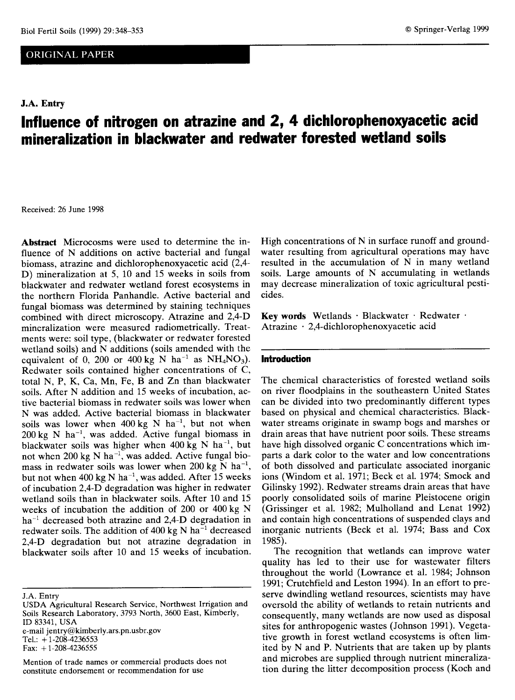# ORIGINAL PAPER

# **J.A. Entry**

# **Influence of nitrogen on atrazine and 2, 4 dichlorophenoxyacetic acid mineralization in blackwater and redwater forested wetland soils**

Received: 26 June 1998

**Abstract** Microcosms were used to determine the influence of N additions on active bacterial and fungal biomass, atrazine and dichlorophenoxyacetic acid (2,4- D) mineralization at 5, 10 and 15 weeks in soils from blackwater and redwater wetland forest ecosystems in the northern Florida Panhandle. Active bacterial and fungal biomass was determined by staining techniques combined with direct microscopy. Atrazine and 2,4-D mineralization were measured radiometrically. Treatments were: soil type, (blackwater or redwater forested wetland soils) and N additions (soils amended with the equivalent of 0, 200 or 400 kg N ha<sup>-1</sup> as NH<sub>4</sub>NO<sub>3</sub>). Redwater soils contained higher concentrations of C, total N, P, K, Ca, Mn, Fe, B and Zn than blackwater soils. After N addition and 15 weeks of incubation, active bacterial biomass in redwater soils was lower when N was added. Active bacterial biomass in blackwater soils was lower when  $400 \text{ kg}$  N ha<sup>-1</sup>, but not when 200 kg N ha', was added. Active fungal biomass in blackwater soils was higher when  $400 \text{ kg N}$  ha<sup>-1</sup>, but not when 200 kg N ha<sup>-1</sup>, was added. Active fungal biomass in redwater soils was lower when 200 kg  $N$  ha<sup>-1</sup>, but not when 400 kg N ha<sup>-1</sup>, was added. After 15 weeks of incubation 2,4-D degradation was higher in redwater wetland soils than in blackwater soils. After 10 and 15 weeks of incubation the addition of 200 or 400 kg N  $ha^{-1}$  decreased both atrazine and 2,4-D degradation in redwater soils. The addition of  $400 \text{ kg N}$  ha<sup>-1</sup> decreased 2,4-D degradation but not atrazine degradation in blackwater soils after 10 and 15 weeks of incubation.

J.A. Entry

e-mail jentry@kimberly.ars.pn.usbr.gov Tel.: +1-208-4236553 Fax:  $+1-208-4236555$ 

High concentrations of N in surface runoff and groundwater resulting from agricultural operations may have resulted in the accumulation of N in many wetland soils. Large amounts of N accumulating in wetlands may decrease mineralization of toxic agricultural pesticides.

**Key words** Wetlands • Blackwater • Redwater • Atrazine • 2,4-dichlorophenoxyacetic acid

## **Introduction**

The chemical characteristics of forested wetland soils on river floodplains in the southeastern United States can be divided into two predominantly different types based on physical and chemical characteristics. Blackwater streams originate in swamp bogs and marshes or drain areas that have nutrient poor soils. These streams have high dissolved organic C concentrations which imparts a dark color to the water and low concentrations of both dissolved and particulate associated inorganic ions (Windom et al. 1971; Beck et al. 1974; Smock and Gilinsky 1992). Redwater streams drain areas that have poorly consolidated soils of marine Pleistocene origin (Grissinger et al. 1982; Mulholland and Lenat 1992) and contain high concentrations of suspended clays and inorganic nutrients (Beck et al. 1974; Bass and Cox 1985).

The recognition that wetlands can improve water quality has led to their use for wastewater filters throughout the world (Lowrance et al. 1984; Johnson 1991; Crutchfield and Leston 1994). In an effort to preserve dwindling wetland resources, scientists may have oversold the ability of wetlands to retain nutrients and consequently, many wetlands are now used as disposal sites for anthropogenic wastes (Johnson 1991). Vegetative growth in forest wetland ecosystems is often limited by N and P. Nutrients that are taken up by plants and microbes are supplied through nutrient mineralization during the litter decomposition process (Koch and

USDA Agricultural Research Service, Northwest Irrigation and Soils Research Laboratory, 3793 North, 3600 East, Kimberly, ID 83341, USA

Mention of trade names or commercial products does not constitute endorsement or recommendation for use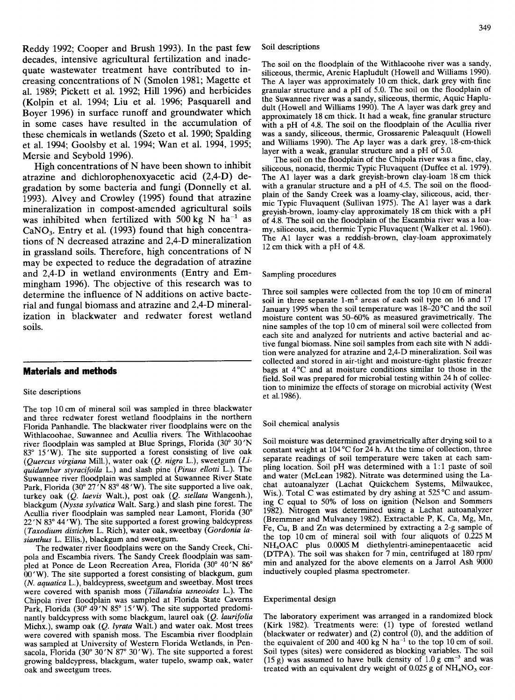Reddy 1992; Cooper and Brush 1993). In the past few decades, intensive agricultural fertilization and inadequate wastewater treatment have contributed to increasing concentrations of N (Smolen 1981; Magette et al. 1989; Pickett et al. 1992; Hill 1996) and herbicides (Kolpin et al. 1994; Liu et al. 1996; Pasquarell and Boyer 1996) in surface runoff and groundwater which in some cases have resulted in the accumulation of these chemicals in wetlands (Szeto et al. 1990; Spalding et al. 1994; Goolsby et al. 1994; Wan et al. 1994, 1995; Mersie and Seybold 1996).

High concentrations of N have been shown to inhibit atrazine and dichlorophenoxyacetic acid (2,4-D) degradation by some bacteria and fungi (Donnelly et al. 1993). Alvey and Crowley (1995) found that atrazine mineralization in compost-amended agricultural soils was inhibited when fertilized with 500 kg N ha<sup>-1</sup> as CaNO<sub>3</sub>. Entry et al. (1993) found that high concentrations of N decreased atrazine and 2,4-D mineralization in grassland soils. Therefore, high concentrations of N may be expected to reduce the degradation of atrazine and 2,4-D in wetland environments (Entry and Emmingham 1996). The objective of this research was to determine the influence of N additions on active bacterial and fungal biomass and atrazine and 2,4-D mineralization in blackwater and redwater forest wetland soils.

## **Materials and methods**

#### Site descriptions

The top 10 cm of mineral soil was sampled in three blackwater and three redwater forest wetland floodplains in the northern Florida Panhandle. The blackwater river floodplains were on the Withlacoohae, Suwannee and Acullia rivers. The Withlacoohae river floodplain was sampled at Blue Springs, Florida (30° 30'N 83° 15 'W). The site supported a forest consisting of live oak *(Quercus virgiana* Mill.), water oak *(Q. nigra* L.), sweetgum *(Liquidambar styracifoila* L.) and slash pine *(Pinus ellotti* L.). The Suwannee river floodplain was sampled at Suwannee River State Park, Florida (30° 27'N 83° 48'W). The site supported a live oak, turkey oak *(Q. laevis* Walt.), post oak *(Q. stellata* Wangenh.), blackgum *(Nyssa sylvatica* Walt. Sarg.) and slash pine forest. The Acullia river floodplain was sampled near Lamont, Florida (30° 22 'N 83° 44 'W). The site supported a forest growing baldcypress *(Taxodium distichm* L. Rich), water oak, sweetbay *(Gordonia lasianthus* L. Ellis.), blackgum and sweetgum.

The redwater river floodplains were on the Sandy Creek, Chipola and Escambia rivers. The Sandy Creek floodplain was sampled at Ponce de Leon Recreation Area, Florida (30° 40'N 86° 00 'W). The site supported a forest consisting of blackgum, gum *(N. aquatica* L.), baldcypress, sweetgum and sweetbay. Most trees were covered with spanish moss *(Tillandsia usneoides* L.). The Chipola river floodplain was sampled at Florida State Caverns Park, Florida (30° 49'N 85° 15'W). The site supported predominantly baldcypress with some blackgum, laurel oak *(Q. laurifolia* Michx.), swamp oak *(Q. lyrata Walt.)* and water oak. Most trees were covered with spanish moss. The Escambia river floodplain was sampled at University of Western Florida Wetlands, in Pensacola, Florida (30 $^{\circ}$  30'N  $87^{\circ}$  30'W). The site supported a forest growing baldcypress, blackgum, water tupelo, swamp oak, water oak and sweetgum trees.

The soil on the floodplain of the Withlacoohe river was a sandy, siliceous, thermic, Arenic Hapludult (Howell and Williams 1990). The A layer was approximately 10 cm thick, dark grey with fine granular structure and a pH of 5.0. The soil on the floodplain of the Suwannee river was a sandy, siliceous, thermic, Aquic Hapludult (Howell and Williams 1990). The A layer was dark grey and approximately 18 cm thick. It had a weak, fine granular structure with a pH of 4.8. The soil on the floodplain of the Acullia river was a sandy, siliceous, thermic, Grossarenic Paleaquult (Howell and Williams 1990). The Ap layer was a dark grey, 18-cm-thick layer with a weak, granular structure and a pH of 5.0.

The soil on the floodplain of the Chipola river was a fine, clay, siliceous, nonacid, thermic Typic Fluvaquent (Duffee et al. 1979). The Al layer was a dark greyish-brown clay-loam 18 cm thick with a granular structure and a pH of 4.5. The soil on the floodplain of the Sandy Creek was a loamy-clay, siliceous, acid, thermic Typic Fluvaquent (Sullivan 1975). The Al layer was a dark greyish-brown, loamy-clay approximately 18 cm thick with a pH of 4.8. The soil on the floodplain of the Escambia river was a loamy, siliceous, acid, thermic Typic Fluvaquent (Walker et al. 1960). The Al layer was a reddish-brown, clay-loam approximately 12 cm thick with a pH of 4.8.

Sampling procedures

Three soil samples were collected from the top 10 cm of mineral soil in three separate  $1-m^2$  areas of each soil type on 16 and 17 January 1995 when the soil temperature was 18-20 °C and the soil moisture content was 50-60% as measured gravimetrically. The nine samples of the top 10 cm of mineral soil were collected from each site and analyzed for nutrients and active bacterial and active fungal biomass. Nine soil samples from each site with N addition were analyzed for atrazine and 2,4-D mineralization. Soil was collected and stored in air-tight and moisture-tight plastic freezer bags at 4°C and at moisture conditions similar to those in the field. Soil was prepared for microbial testing within 24 h of collection to minimize the effects of storage on microbial activity (West et al.1986).

#### Soil chemical analysis

Soil moisture was determined gravimetrically after drying soil to a constant weight at 104 °C for 24 h. At the time of collection, three separate readings of soil temperature were taken at each sampling location. Soil pH was determined with a 1:1 paste of soil and water (McLean 1982). Nitrate was determined using the Lachat autoanalyzer (Lachat Quickchem Systems, Milwaukee, Wis.). Total C was estimated by dry ashing at 525 °C and assuming C equal to 50% of loss on ignition (Nelson and Sommers 1982). Nitrogen was determined using a Lachat autoanalyzer (Bremmner and Mulvaney 1982). Extractable P, K, Ca, Mg, Mn, Fe, Cu, B and Zn was determined by extracting a 2-g sample of the top 10 cm of mineral soil with four aliquots of 0.225 M NH4OAC plus 0.0005 M diethylentri-aminepentaacetic acid (DTPA). The soil was shaken for 7 min, centrifuged at 180 rpm/ min and analyzed for the above elements on a Jarrol Ash 9000 inductively coupled plasma spectrometer.

#### Experimental design

The laboratory experiment was arranged in a randomized block (Kirk 1982). Treatments were: (1) type of forested wetland (blackwater or redwater) and (2) control (0), and the addition of the equivalent of 200 and 400 kg N ha<sup>-1</sup> to the top 10 cm of soil. Soil types (sites) were considered as blocking variables. The soil (15 g) was assumed to have bulk density of  $1.0 \text{ g cm}^{-3}$  and was treated with an equivalent dry weight of  $0.025$  g of  $NH<sub>4</sub>NO<sub>3</sub>$  cor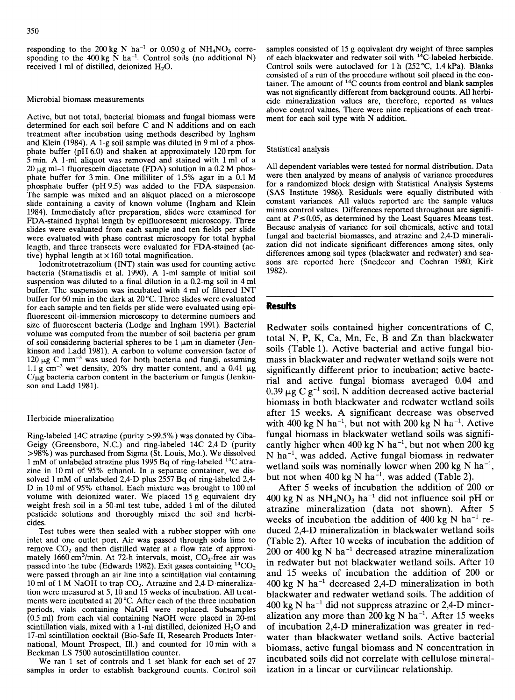responding to the 200 kg N ha<sup>-1</sup> or 0.050 g of NH<sub>4</sub>NO<sub>3</sub> corresponding to the 400 kg  $\overline{N}$  ha<sup>-1</sup>. Control soils (no additional N) received 1 ml of distilled, deionized  $H_2O$ .

#### Microbial biomass measurements

Active, but not total, bacterial biomass and fungal biomass were determined for each soil before C and N additions and on each treatment after incubation using methods described by Ingham and Klein (1984). A 1-g soil sample was diluted in 9 ml of a phosphate buffer (pH 6.0) and shaken at approximately 120 rpm for  $5$  min. A 1-ml aliquot was removed and stained with 1 ml of a 20  $\mu$ g ml-1 fluorescein diacetate (FDA) solution in a 0.2 M phosphate buffer for 3 min. One milliliter of 1.5% agar in a 0.1 M phosphate buffer (pH 9.5) was added to the FDA suspension. The sample was mixed and an aliquot placed on a microscope slide containing a cavity of known volume (Ingham and Klein 1984). Immediately after preparation, slides were examined for FDA-stained hyphal length by epifluorescent microscopy. Three slides were evaluated from each sample and ten fields per slide were evaluated with phase contrast microscopy for total hyphal length, and three transects were evaluated for FDA-stained (active) hyphal length at  $\times 160$  total magnification.

lodonitrotetrazolium (INT) stain was used for counting active bacteria (Stamatiadis et al. 1990). A 1-ml sample of initial soil suspension was diluted to a final dilution in a 0.2-mg soil in 4 ml buffer. The suspension was incubated with 4 ml of filtered INT buffer for 60 min in the dark at 20 °C. Three slides were evaluated for each sample and ten fields per slide were evaluated using epifluorescent oil-immersion microscopy to determine numbers and size of fluorescent bacteria (Lodge and Ingham 1991). Bacterial volume was computed from the number of soil bacteria per gram of soil considering bacterial spheres to be  $1 \mu m$  in diameter (Jenkinson and Ladd 1981). A carbon to volume conversion factor of  $120 \mu$ g C mm<sup>-3</sup> was used for both bacteria and fungi, assuming 1.1 g cm<sup>-3</sup> wet density, 20% dry matter content, and a 0.41  $\mu$ g  $C/\mu g$  bacteria carbon content in the bacterium or fungus (Jenkinson and Ladd 1981).

#### Herbicide mineralization

Ring-labeled 14C atrazine (purity >99.5%) was donated by Ciba-Geigy (Greensboro, N.C.) and ring-labeled 14C 2,4-D (purity >98%) was purchased from Sigma (St. Louis, Mo.). We dissolved 1 mM of unlabeled atrazine plus 1995 Bq of ring-labeled 14C atrazine in 10 ml of 95% ethanol. In a separate container, we dissolved 1 mM of unlabeled 2,4-D plus 2557 Bq of ring-labeled 2,4- D in 10 ml of 95% ethanol. Each mixture was brought to 100 ml volume with deionized water. We placed 15 g equivalent dry weight fresh soil in a 50-m1 test tube, added 1 ml of the diluted pesticide solutions and thoroughly mixed the soil and herbicides.

Test tubes were then sealed with a rubber stopper with one inlet and one outlet port. Air was passed through soda lime to remove  $CO<sub>2</sub>$  and then distilled water at a flow rate of approximately 1660 cm<sup>3</sup>/min. At 72-h intervals, moist,  $CO_2$ -free air was passed into the tube (Edwards 1982). Exit gases containing  ${}^{14}CO_2$ were passed through an air line into a scintillation vial containing 10 ml of 1 M NaOH to trap  $CO<sub>2</sub>$ . Atrazine and 2,4-D-mineralization were measured at 5, 10 and 15 weeks of incubation. All treatments were incubated at 20 °C. After each of the three incubation periods, vials containing NaOH were replaced. Subsamples (0.5 ml) from each vial containing NaOH were placed in 20-m1 scintillation vials, mixed with a 1-ml distilled, deionized  $H_2O$  and 17-m1 scintillation cocktail (Bio-Safe II, Research Products International, Mount Prospect, Ill.) and counted for 10 min with a Beckman LS 7500 autoscintillation counter.

We ran 1 set of controls and 1 set blank for each set of 27 samples in order to establish background counts. Control soil samples consisted of 15 g equivalent dry weight of three samples of each blackwater and redwater soil with <sup>14</sup>C-labeled herbicide. Control soils were autoclaved for 1 h (252 °C, 1.4 kPa). Blanks consisted of a run of the procedure without soil placed in the container. The amount of 14C counts from control and blank samples was not significantly different from background counts. All herbicide mineralization values are, therefore, reported as values above control values. There were nine replications of each treatment for each soil type with N addition.

#### Statistical analysis

All dependent variables were tested for normal distribution. Data were then analyzed by means of analysis of variance procedures for a randomized block design with Statistical Analysis Systems (SAS Institute 1986). Residuals were equally distributed with constant variances. All values reported are the sample values minus control values. Differences reported throughout are significant at  $P \le 0.05$ , as determined by the Least Squares Means test. Because analysis of variance for soil chemicals, active and total fungal and bacterial biomasses, and atrazine and 2,4-D mineralization did not indicate significant differences among sites, only differences among soil types (blackwater and redwater) and seasons are reported here (Snedecor and Cochran 1980; Kirk 1982).

## **Results**

Redwater soils contained higher concentrations of C, total N, P, K, Ca, Mn, Fe, B and Zn than blackwater soils (Table 1). Active bacterial and active fungal biomass in blackwater and redwater wetland soils were not significantly different prior to incubation; active bacterial and active fungal biomass averaged 0.04 and 0.39  $\mu$ g C g<sup>-1</sup> soil. N addition decreased active bacterial biomass in both blackwater and redwater wetland soils after 15 weeks. A significant decrease was observed with 400 kg N ha<sup>-1</sup>, but not with 200 kg N ha<sup>-1</sup>. Active fungal biomass in blackwater wetland soils was significantly higher when 400 kg N ha<sup>-1</sup>, but not when 200 kg  $N$  ha<sup>-1</sup>, was added. Active fungal biomass in redwater wetland soils was nominally lower when 200 kg N ha<sup>-1</sup>, but not when 400 kg N ha<sup>-1</sup>, was added (Table 2).

After 5 weeks of incubation the addition of 200 or 400 kg N as  $NH<sub>4</sub>NO<sub>3</sub>$  ha<sup>-1</sup> did not influence soil pH or atrazine mineralization (data not shown). After 5 weeks of incubation the addition of 400 kg N ha<sup>-1</sup> reduced 2,4-D mineralization in blackwater wetland soils (Table 2). After 10 weeks of incubation the addition of  $200$  or 400 kg N ha<sup>-1</sup> decreased atrazine mineralization in redwater but not blackwater wetland soils. After 10 and 15 weeks of incubation the addition of 200 or  $400 \text{ kg}$  N ha<sup>-1</sup> decreased 2.4-D mineralization in both blackwater and redwater wetland soils. The addition of  $400 \text{ kg N}$  ha<sup>-1</sup> did not suppress atrazine or 2,4-D mineralization any more than  $200 \text{ kg N}$  ha<sup>-1</sup>. After 15 weeks of incubation 2,4-D mineralization was greater in redwater than blackwater wetland soils. Active bacterial biomass, active fungal biomass and N concentration in incubated soils did not correlate with cellulose mineralization in a linear or curvilinear relationship.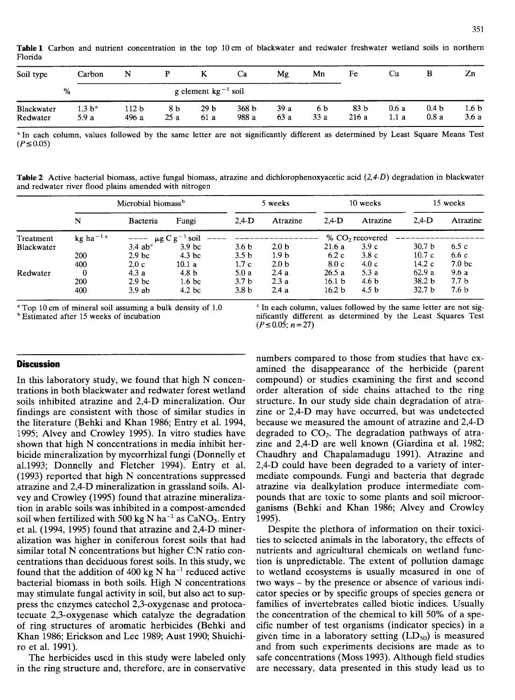**Table 1** Carbon and nutrient concentration in the top 10 cm of blackwater and redwater freshwater wetland soils in northern Florida

| Soil type              | Carbon                     | N                        |            | K                      | Ca                        | Mg          | Mn         | Fe                      | Cu            | В                        | Zn                       |
|------------------------|----------------------------|--------------------------|------------|------------------------|---------------------------|-------------|------------|-------------------------|---------------|--------------------------|--------------------------|
|                        | %                          | g element $kg^{-1}$ soil |            |                        |                           |             |            |                         |               |                          |                          |
| Blackwater<br>Redwater | 1.3 b <sup>a</sup><br>5.9a | 112 b<br>496 a           | 8 b<br>25a | 29 <sub>b</sub><br>61a | 368 <sub>b</sub><br>988 a | 39a<br>63 a | 6 b<br>33a | 83 <sub>b</sub><br>216a | 0.6a<br>1.1 a | 0.4 <sub>b</sub><br>0.8a | 1.6 <sub>b</sub><br>3.6a |

a In each column, values followed by the same letter are not significantly different as determined by Least Square Means Test  $(P \le 0.05)$ 

**Table 2** Active bacterial biomass, active fungal biomass, atrazine and dichlorophenoxyacetic acid  $(2,4-D)$  degradation in blackwater and redwater river flood plains amended with nitrogen

|            | Microbial biomass <sup>b</sup> |                                   |                   |                  | 5 weeks          | 10 weeks          |                             | 15 weeks          |                   |
|------------|--------------------------------|-----------------------------------|-------------------|------------------|------------------|-------------------|-----------------------------|-------------------|-------------------|
|            | N                              | Bacteria                          | Fungi             | $2.4-D$          | Atrazine         | $2,4$ -D          | Atrazine                    | $2.4-D$           | Atrazine          |
| Treatment  | kg ha $^{-1}$ <sup>a</sup>     | $--- \mu g C g^{-1} \text{ soil}$ |                   |                  |                  |                   | % CO <sub>2</sub> recovered |                   |                   |
| Blackwater |                                | $3.4$ ab <sup>c</sup>             | 3.9 <sub>bc</sub> | 3.6 <sub>b</sub> | 2.0 <sub>b</sub> | 21.6a             | 3.9c                        | 30.7 <sub>b</sub> | 6.5c              |
|            | 200                            | 2.9 <sub>bc</sub>                 | 4.3 <sub>bc</sub> | 3.5 <sub>b</sub> | 1.9 <sub>b</sub> | 6.2c              | 3.8c                        | 10.7c             | 6.6c              |
|            | 400                            | 2.0c                              | 10.1a             | 1.7c             | 2.0 <sub>b</sub> | 8.0c              | 4.0c                        | 14.2c             | 7.0 <sub>bc</sub> |
| Redwater   | $\bf{0}$                       | 4.3a                              | 4.8 <sub>b</sub>  | 5.0a             | 2.4a             | 26.5a             | 5.3a                        | 62.9a             | 9.6a              |
|            | 200                            | 2.9 <sub>bc</sub>                 | 1.6 <sub>bc</sub> | 3.7 <sub>b</sub> | 2.3a             | 16.1 <sub>b</sub> | 4.6 <sub>b</sub>            | 38.2 <sub>b</sub> | 7.7 <sub>b</sub>  |
|            | 400                            | $3.9$ ab                          | 4.2 <sub>bc</sub> | 3.8 <sub>b</sub> | 2.4a             | 16.2 <sub>b</sub> | 4.5 b                       | 32.7 <sub>b</sub> | 7.6 b             |

### **Discussion**

In this laboratory study, we found that high N concentrations in both blackwater and redwater forest wetland soils inhibited atrazine and 2,4-D mineralization. Our findings are consistent with those of similar studies in the literature (Behki and Khan 1986; Entry et al. 1994, 1995; Alvey and Crowley 1995). In vitro studies have shown that high N concentrations in media inhibit herbicide mineralization by mycorrhizal fungi (Donnelly et al.1993; Donnelly and Fletcher 1994). Entry et al. (1993) reported that high N concentrations suppressed atrazine and 2,4-D mineralization in grassland soils. Alvey and Crowley (1995) found that atrazine mineralization in arable soils was inhibited in a compost-amended soil when fertilized with 500 kg N ha<sup>-1</sup> as CaNO<sub>3</sub>. Entry et al. (1994, 1995) found that atrazine and 2,4-D mineralization was higher in coniferous forest soils that had similar total N concentrations but higher C:N ratio concentrations than deciduous forest soils. In this study, we found that the addition of 400 kg N ha<sup>-1</sup> reduced active bacterial biomass in both soils. High N concentrations may stimulate fungal activity in soil, but also act to suppress the enzymes catechol 2,3-oxygenase and protocatecuate 2,3-oxygenase which catalyze the degradation of ring structures of aromatic herbicides (Behki and Khan 1986; Erickson and Lee 1989; Aust 1990; Shuichiro et al. 1991).

The herbicides used in this study were labeled only in the ring structure and, therefore, are in conservative

aTop 10 cm of mineral soil assuming a bulk density of 1.0 <sup>c</sup> In each column, values followed by the same letter are not sig-<br><sup>b</sup> Estimated after 15 weeks of incubation **in each column**, values followed by the Least Square nificantly different as determined by the Least Squares Test  $(P \le 0.05; n=27)$ 

> numbers compared to those from studies that have examined the disappearance of the herbicide (parent compound) or studies examining the first and second order alteration of side chains attached to the ring structure. In our study side chain degradation of atrazine or 2,4-D may have occurred, but was undetected because we measured the amount of atrazine and 2,4-D degraded to  $CO<sub>2</sub>$ . The degradation pathways of atrazine and 2,4-D are well known (Giardina et al. 1982; Chaudhry and Chapalamadugu 1991). Atrazine and 2,4-D could have been degraded to a variety of intermediate compounds. Fungi and bacteria that degrade atrazine via dealkylation produce intermediate compounds that are toxic to some plants and soil microorganisms (Behki and Khan 1986; Alvey and Crowley 1995).

> Despite the plethora of information on their toxicities to selected animals in the laboratory, the effects of nutrients and agricultural chemicals on wetland function is unpredictable. The extent of pollution damage to wetland ecosystems is usually measured in one of two ways - by the presence or absence of various indicator species or by specific groups of species genera or families of invertebrates called biotic indices. Usually the concentration of the chemical to kill 50% of a specific number of test organisms (indicator species) in a given time in a laboratory setting  $(LD_{50})$  is measured and from such experiments decisions are made as to safe concentrations (Moss 1993). Although field studies are necessary, data presented in this study lead us to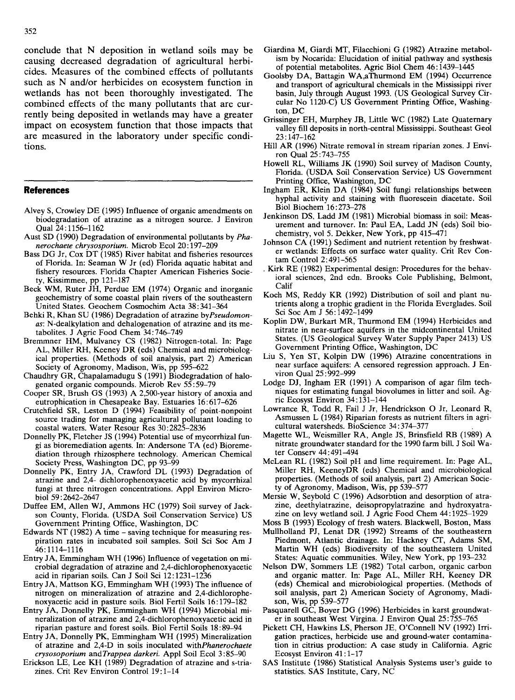conclude that N deposition in wetland soils may be causing decreased degradation of agricultural herbicides. Measures of the combined effects of pollutants such as N and/or herbicides on ecosystem function in wetlands has not been thoroughly investigated. The combined effects of the many pollutants that are currently being deposited in wetlands may have a greater impact on ecosystem function that those impacts that are measured in the laboratory under specific conditions.

## **References**

- Alvey S, Crowley DE (1995) Influence of organic amendments on biodegradation of atrazine as a nitrogen source. J Environ Qual 24:1156-1162
- Aust SD (1990) Degradation of environmental pollutants by *Phanerochaete chrysosporium.* Microb Ecol 20:197-209
- Bass DG Jr, Cox DT (1985) River habitat and fisheries resources of Florida. In: Seaman W Jr (ed) Florida aquatic habitat and fishery resources. Florida Chapter American Fisheries Society, Kissimmee, pp 121-187
- Beck WM, Ruter JH, Perdue EM (1974) Organic and inorganic geochemistry of some coastal plain rivers of the southeastern United States. Geochem Cosmochim Acta 38:341-364
- Behki R, Khan SU (1986) Degradation of atrazine *byPseudomonas:* N-dealkylation and dehalogenation of atrazine and its metabolites. J Agric Food Chem 34:746-749
- Bremmner HM, Mulvaney CS (1982) Nitrogen-total. In: Page AL, Miller RH, Keeney DR (eds) Chemical and microbiological properties. (Methods of soil analysis, part 2) American Society of Agronomy, Madison, Wis, pp 595-622
- Chaudhry GR, Chapalamadugu S (1991) Biodegradation of halogenated organic compounds. Microb Rev 55:59-79
- Cooper SR, Brush GS (1993) A 2,500-year history of anoxia and eutrophication in Chesapeake Bay. Estuaries 16:617-626
- Crutchfield SR, Leston D (1994) Feasibility of point-nonpoint source trading for managing agricultural pollutant loading to coastal waters. Water Resour Res 30:2825-2836
- Donnelly PK, Fletcher JS (1994) Potential use of mycorrhizal fungi as bioremediation agents. In: Andersone TA (ed) Bioremediation through rhizosphere technology. American Chemical Society Press, Washington DC, pp 93-99
- Donnelly PK, Entry JA, Crawford DL (1993) Degradation of atrazine and 2,4- dichlorophenoxyacetic acid by mycorrhizal fungi at three nitrogen concentrations. Appl Environ Microbiol 59: 2642-2647
- Duffee EM, Allen WJ, Ammons HC (1979) Soil survey of Jackson County, Florida. (USDA Soil Conservation Service) US Government Printing Office, Washington, DC
- Edwards NT (1982) A time saving technique for measuring respiration rates in incubated soil samples. Soil Sci Soc Am J 46:1114-1116
- Entry JA, Emmingham WH (1996) Influence of vegetation on microbial degradation of atrazine and 2,4-dichlorophenoxyacetic acid in riparian soils. Can J Soil Sci 12:1231-1236
- Entry JA, Mattson KG, Emmingham WH (1993) The influence of nitrogen on mineralization of atrazine and 2,4-dichlorophenoxyacetic acid in pasture soils. Biol Fertil Soils 16:179-182
- Entry JA, Donnelly PK, Emmingham WH (1994) Microbial mineralization of atrazine and 2,4-dichlorophenoxyacetic acid in riparian pasture and forest soils. Biol Fertil Soils 18:89-94
- Entry JA, Donnelly PK, Emmingham WH (1995) Mineralization of atrazine and 2,4-D in soils inoculated *withPhanerochaete crysosoporium* and *Trappea darkeri.* Appl Soil Ecol 3:85-90
- Erickson LE, Lee KH (1989) Degradation of atrazine and s-triazines. Crit Rev Environ Control 19:1-14
- Giardina M, Giardi MT, Filacchioni G (1982) Atrazine metabolism by Nocarida: Elucidation of initial pathway and systhesis of potential metabolites. Agric Biol Chem 46:1439-1445
- Goolsby DA, Battagin WA,aThurmond EM (1994) Occurrence and transport of agricultural chemicals in the Mississippi river basin, July through August 1993. (US Geological Survey Circular No 1120-C) US Government Printing Office, Washington, DC
- Grissinger EH, Murphey JB, Little WC (1982) Late Quaternary valley fill deposits in north-central Mississippi. Southeast Geol 23:147-162
- Hill AR (1996) Nitrate removal in stream riparian zones. J Environ Qual 25:743-755
- Howell RL, Williams JK (1990) Soil survey of Madison County, Florida. (USDA Soil Conservation Service) US Government Printing Office, Washington, DC
- Ingham ER, Klein DA (1984) Soil fungi relationships between hyphal activity and staining with fluorescein diacetate. Soil Biol Biochem 16:273-278
- Jenkinson DS, Ladd JM (1981) Microbial biomass in soil: Measurement and turnover. In: Paul EA, Ladd JN (eds) Soil biochemistry, vol 5. Dekker, New York, pp 415-471
- Johnson CA (1991) Sediment and nutrient retention by freshwater wetlands: Effects on surface water quality. Crit Rev Contam Control 2:491-565
- . Kirk RE (1982) Experimental design: Procedures for the behavioral sciences, 2nd edn. Brooks Cole Publishing, Belmont, Calif
- Koch MS, Reddy KR (1992) Distribution of soil and plant nutrients along a trophic gradient in the Florida Everglades. Soil Sci Soc Am J 56:1492-1499
- Koplin DW, Burkart MR, Thurmond EM (1994) Herbicides and nitrate in near-surface aquifers in the midcontinental United States. (US Geological Survey Water Supply Paper 2413) US Government Printing Office, Washington, DC
- Liu S, Yen ST, Kolpin DW (1996) Atrazine concentrations in near surface aquifers: A censored regression approach. J Environ Qual 25:992-999
- Lodge DJ, Ingham ER (1991) A comparison of agar film techniques for estimating fungal biovolumes in litter and soil. Agric Ecosyst Environ 34:131-144
- Lowrance R, Todd R, Fail J Jr, Hendrickson 0 Jr, Leonard R, Asmussen L (1984) Riparian forests as nutrient filters in agricultural watersheds. BioScience 34:374-377
- Magette WL, Weismiller RA, Angle JS, Brinsfield RB (1989) A nitrate groundwater standard for the 1990 farm bill. J Soil Water Consery 44:491-494
- McLean RL (1982) Soil pH and lime requirement. In: Page AL, Miller RH, KeeneyDR (eds) Chemical and microbiological properties. (Methods of soil analysis, part 2) American Society of Agronomy, Madison, Wis, pp 539-577
- Mersie W, Seybold C (1996) Adsorbtion and desorption of atrazine, deethylatrazine, deisopropylatrazine and hydroxyatrazine on levy wetland soil. J Agric Food Chem 44:1925-1929
- Moss B (1993) Ecology of fresh waters. Blackwell, Boston, Mass
- Mullholland PJ, Lenat DR (1992) Streams of the southeastern Piedmont, Atlantic drainage. In: Hackney CT, Adams SM, Martin WH (eds) Biodiversity of the southeastern United States: Aquatic communities. Wiley, New York, pp 193-232
- Nelson DW, Sommers LE (1982) Total carbon, organic carbon and organic matter. In: Page AL, Miller RH, Keeney DR (eds) Chemical and microbiological properties. (Methods of soil analysis, part 2) American Society of Agronomy, Madison, Wis, pp 539-577
- Pasquarell GC, Boyer DG (1996) Herbicides in karst groundwater in southeast West Virgina. J Environ Qual 25:755-765
- Pickett CH, Hawkins LS, Pherson JE, O'Connell NV (1992) Irrigation practices, herbicide use and ground-water contamination in citrius production: A case study in California. Agric Ecosyst Environ 41:1-17
- SAS Institute (1986) Statistical Analysis Systems user's guide to statistics. SAS Institute, Cary, NC